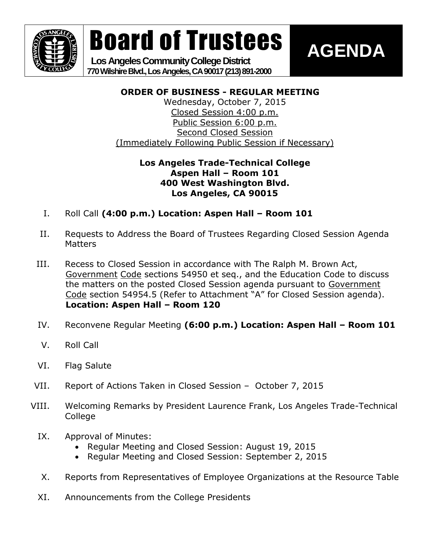

Board of Trustees

 **Los Angeles Community College District 770 Wilshire Blvd., Los Angeles, CA 90017 (213) 891-2000**

## **AGENDA**

### **ORDER OF BUSINESS - REGULAR MEETING**

Wednesday, October 7, 2015 Closed Session 4:00 p.m. Public Session 6:00 p.m. Second Closed Session (Immediately Following Public Session if Necessary)

### **Los Angeles Trade-Technical College Aspen Hall – Room 101 400 West Washington Blvd. Los Angeles, CA 90015**

- I. Roll Call **(4:00 p.m.) Location: Aspen Hall – Room 101**
- II. Requests to Address the Board of Trustees Regarding Closed Session Agenda **Matters**
- III. Recess to Closed Session in accordance with The Ralph M. Brown Act, Government Code sections 54950 et seq., and the Education Code to discuss the matters on the posted Closed Session agenda pursuant to Government Code section 54954.5 (Refer to Attachment "A" for Closed Session agenda). **Location: Aspen Hall – Room 120**
- IV. Reconvene Regular Meeting **(6:00 p.m.) Location: Aspen Hall – Room 101**
- V. Roll Call
- VI. Flag Salute
- VII. Report of Actions Taken in Closed Session October 7, 2015
- VIII. Welcoming Remarks by President Laurence Frank, Los Angeles Trade-Technical College
	- IX. Approval of Minutes:
		- Regular Meeting and Closed Session: August 19, 2015
		- Regular Meeting and Closed Session: September 2, 2015
	- X. Reports from Representatives of Employee Organizations at the Resource Table
	- XI. Announcements from the College Presidents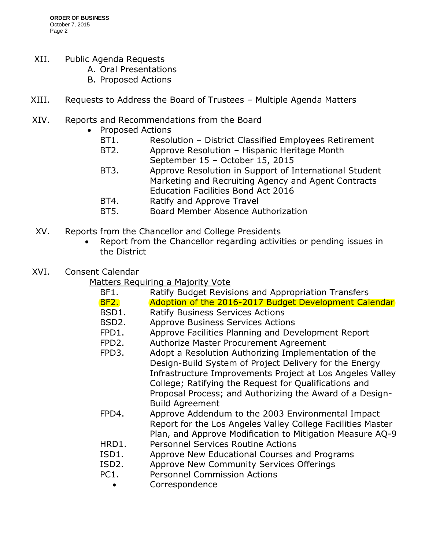- XII. Public Agenda Requests
	- A. Oral Presentations
	- B. Proposed Actions
- XIII. Requests to Address the Board of Trustees Multiple Agenda Matters
- XIV. Reports and Recommendations from the Board
	- Proposed Actions
		- BT1. Resolution District Classified Employees Retirement
		- BT2. Approve Resolution Hispanic Heritage Month September 15 – October 15, 2015
		- BT3. Approve Resolution in Support of International Student Marketing and Recruiting Agency and Agent Contracts Education Facilities Bond Act 2016
		- BT4. Ratify and Approve Travel
		- BT5. Board Member Absence Authorization
- XV. Reports from the Chancellor and College Presidents
	- Report from the Chancellor regarding activities or pending issues in the District
- XVI. Consent Calendar

Matters Requiring a Majority Vote

- BF1. Ratify Budget Revisions and Appropriation Transfers BF2. Adoption of the 2016-2017 Budget Development Calendar BSD1. Ratify Business Services Actions BSD2. Approve Business Services Actions FPD1. Approve Facilities Planning and Development Report FPD2. Authorize Master Procurement Agreement FPD3. Adopt a Resolution Authorizing Implementation of the Design-Build System of Project Delivery for the Energy Infrastructure Improvements Project at Los Angeles Valley College; Ratifying the Request for Qualifications and Proposal Process; and Authorizing the Award of a Design- Build Agreement FPD4. Approve Addendum to the 2003 Environmental Impact Report for the Los Angeles Valley College Facilities Master Plan, and Approve Modification to Mitigation Measure AQ-9 HRD1. Personnel Services Routine Actions ISD1. Approve New Educational Courses and Programs ISD2. Approve New Community Services Offerings PC1. Personnel Commission Actions
	- - Correspondence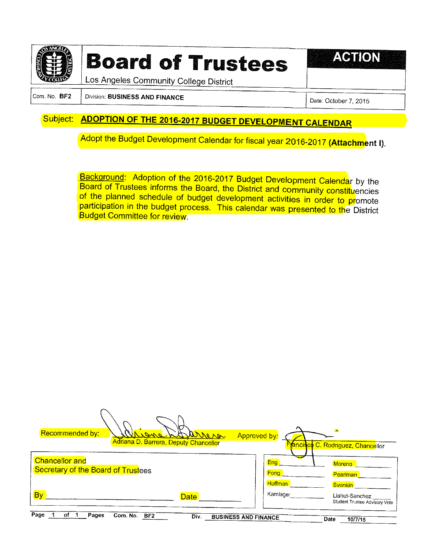

# **Board of Trustees**

**ACTIC** 

Los Angeles Community College District

Com. No. BF2 Division: BUSINESS AND FINANCE Date: October 7, 2015

### Subject: ADOPTION OF THE 2016-2017 BUDGET DEVELOPMENT CALENDAR

Adopt the Budget Development Calendar for fiscal year 2016-2017 (Attachment I).

Background: Adoption of the 2016-2017 Budget Development Calendar by the Board of Trustees informs the Board, the District and community constituencies of the planned schedule of budget development activities in order to promote participation in the budget process. This calendar was presented to the District Budget Committee for review.

| Recommended by:                                             | arreve<br>Adriana D. Barrera, Deputy Chancellor | Approved by:                               | 3 <sup>h</sup><br><b>Francisco</b> C. Rodriguez, Chancellor       |
|-------------------------------------------------------------|-------------------------------------------------|--------------------------------------------|-------------------------------------------------------------------|
| <b>Chancellor and</b><br>Secretary of the Board of Trustees |                                                 | Eng <sup>1</sup><br>Fong<br><b>Hoffman</b> | <b>Moreno</b><br><b>Pearlman</b>                                  |
| By                                                          | <b>Date</b>                                     | Kamlager                                   | <b>Svonkin</b><br>Liahut-Sanchez<br>Student Trustee Advisory Vote |
| Page<br>Pages<br>of<br>Com. No.<br>BF2                      | Div.                                            | <b>BUSINESS AND FINANCE</b>                | Date<br>10/7/15                                                   |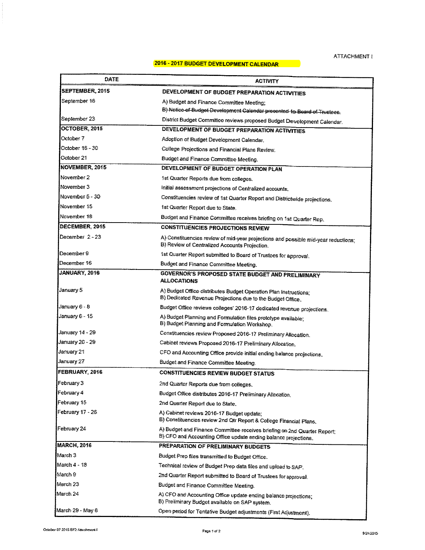#### 2016 - 2017 BUDGET DEVELOPMENT CALENDAR

| DATE                         | ACTIVITY                                                                                                                                    |  |
|------------------------------|---------------------------------------------------------------------------------------------------------------------------------------------|--|
| SEPTEMBER, 2015              | DEVELOPMENT OF BUDGET PREPARATION ACTIVITIES                                                                                                |  |
| September 16                 | A) Budget and Finance Committee Meeting;                                                                                                    |  |
|                              | B) Notice of Budget Development Calendar presented to Board of Trustees.                                                                    |  |
| September 23                 | District Budget Committee reviews proposed Budget Development Calendar.                                                                     |  |
| OCTOBER, 2015                | DEVELOPMENT OF BUDGET PREPARATION ACTIVITIES                                                                                                |  |
| October 7                    | Adoption of Budget Development Calendar.                                                                                                    |  |
| October 16 - 30              | College Projections and Financial Plans Review.                                                                                             |  |
| October 21                   | Budget and Finance Committee Meeting.                                                                                                       |  |
| NOVEMBER, 2015<br>November 2 | DEVELOPMENT OF BUDGET OPERATION PLAN                                                                                                        |  |
| November 3                   | 1st Quarter Reports due from colleges.                                                                                                      |  |
| November 5 - 30              | initial assessment projections of Centralized accounts.                                                                                     |  |
| November 15                  | Constituencies review of 1st Quarter Report and Districtwide projections.                                                                   |  |
| November 18                  | 1st Quarter Report due to State.                                                                                                            |  |
|                              | Budget and Finance Committee receives briefing on 1st Quarter Rep.                                                                          |  |
| DECEMBER, 2015               | <b>CONSTITUENCIES PROJECTIONS REVIEW</b>                                                                                                    |  |
| December 2-23                | A) Constituencies review of mid-year projections and possible mid-year reductions;<br>B) Review of Centralized Accounts Projection.         |  |
| December 9                   | 1st Quarter Report submitted to Board of Trustees for approval.                                                                             |  |
| December 16                  | Budget and Finance Committee Meeting.                                                                                                       |  |
| JANUARY, 2016                | <b>GOVERNOR'S PROPOSED STATE BUDGET AND PRELIMINARY</b><br><b>ALLOCATIONS</b>                                                               |  |
| January 5                    | A) Budget Office distributes Budget Operation Plan Instructions;<br>B) Dedicated Revenue Projections due to the Budget Office.              |  |
| January 6 - 8                | Budget Office reviews colleges' 2016-17 dedicated revenue projections.                                                                      |  |
| January 6 - 15               | A) Budget Planning and Formulation files prototype available:<br>B) Budget Planning and Formulation Workshop.                               |  |
| January 14 - 29              | Constituencies review Proposed 2016-17 Preliminary Allocation.                                                                              |  |
| January 20 - 29              | Cabinet reviews Proposed 2016-17 Preliminary Allocation.                                                                                    |  |
| January 21                   | CFO and Accounting Office provide initial ending balance projections.                                                                       |  |
| January 27                   | Budget and Finance Committee Meeting.                                                                                                       |  |
| FEBRUARY, 2016               | <b>CONSTITUENCIES REVIEW BUDGET STATUS</b>                                                                                                  |  |
| February 3                   | 2nd Quarter Reports due from colleges.                                                                                                      |  |
| February 4                   | Budget Office distributes 2016-17 Preliminary Allocation.                                                                                   |  |
| February 15                  | 2nd Quarter Report due to State.                                                                                                            |  |
| February 17 - 26             | A) Cabinet reviews 2016-17 Budget update;<br>B) Constituencies review 2nd Qtr Report & College Financial Plans.                             |  |
| February 24                  | A) Budget and Finance Committee receives briefing on 2nd Quarter Report:<br>B) CFO and Accounting Office update ending balance projections. |  |
| MARCH, 2016                  | PREPARATION OF PRELIMINARY BUDGETS                                                                                                          |  |
| March 3                      | Budget Prep files transmitted to Budget Office.                                                                                             |  |
| March 4 - 18                 | Technical review of Budget Prep data files and upload to SAP.                                                                               |  |
| March 9                      | 2nd Quarter Report submitted to Board of Trustees for approval.                                                                             |  |
| March 23                     | Budget and Finance Committee Meeting.                                                                                                       |  |
| March 24                     | A) CFO and Accounting Office update ending balance projections;<br>B) Preliminary Budget available on SAP system.                           |  |
| March 29 - May 6             | Open period for Tentative Budget adjustments (First Adjustment).                                                                            |  |